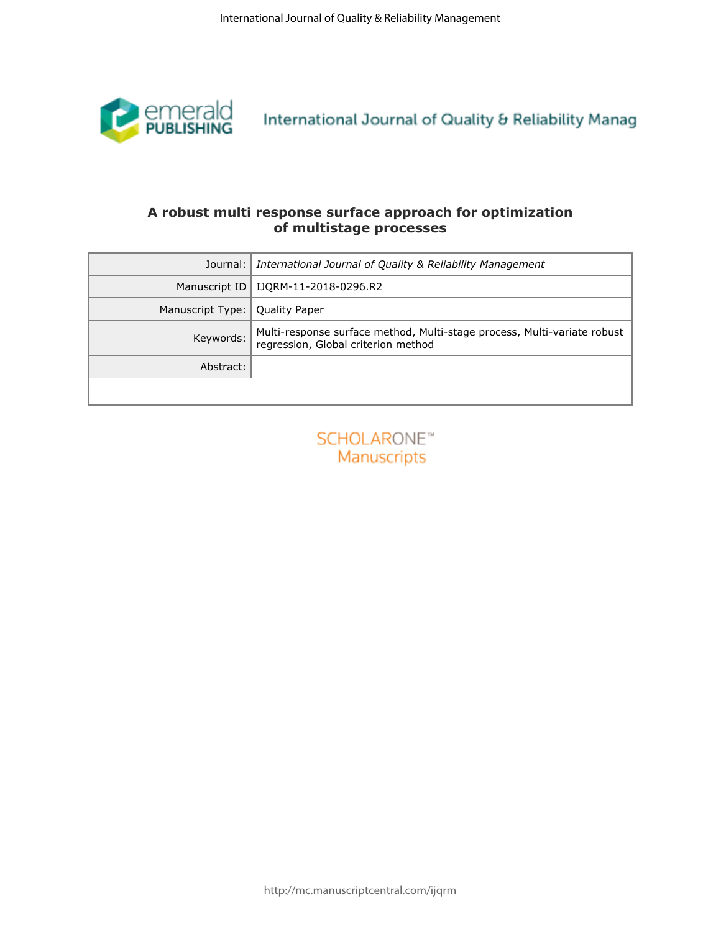

## **of multistage processes**

|                       | International Journal of Quality & Reliability Management                                                       |
|-----------------------|-----------------------------------------------------------------------------------------------------------------|
| emerald<br>PUBLISHING | International Journal of Quality & Reliability Manag                                                            |
|                       | A robust multi response surface approach for optimization<br>of multistage processes                            |
|                       | Journal: International Journal of Quality & Reliability Management                                              |
|                       | Manuscript ID   IJQRM-11-2018-0296.R2                                                                           |
| Manuscript Type:      | Quality Paper                                                                                                   |
| Keywords:             | Multi-response surface method, Multi-stage process, Multi-variate robust<br>regression, Global criterion method |
| Abstract:             |                                                                                                                 |
|                       |                                                                                                                 |
|                       |                                                                                                                 |
|                       |                                                                                                                 |
|                       |                                                                                                                 |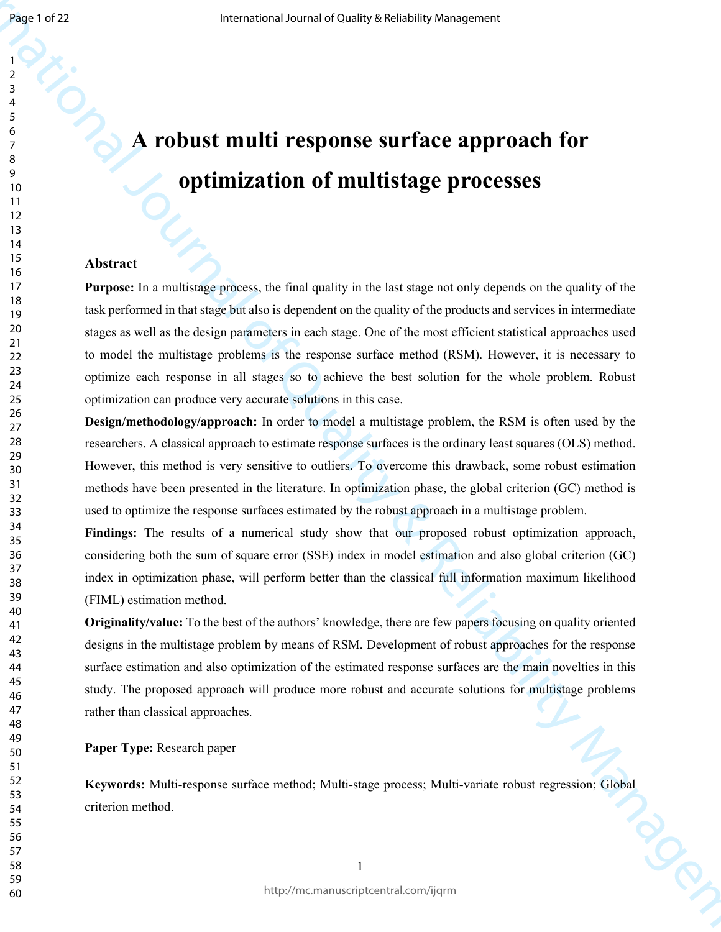Page 1 of 22

 

# **A** *A* robust multi response surface approach for **optimization of multistage processes**

#### **Abstract**

**EXECUTE:**<br> **EXECUTE:**<br> **A POLUSE multificesponse surface approach for**<br> **c a Optimization of multistage processes**<br> **EXECUTE:**<br> **POLUSE multigraphy of the base of Quality is the last experiment of the pulsigraphy o Purpose:** In a multistage process, the final quality in the last stage not only depends on the quality of the task performed in that stage but also is dependent on the quality of the products and services in intermediate stages as well as the design parameters in each stage. One of the most efficient statistical approaches used to model the multistage problems is the response surface method (RSM). However, it is necessary to optimize each response in all stages so to achieve the best solution for the whole problem. Robust optimization can produce very accurate solutions in this case.

**Design/methodology/approach:** In order to model a multistage problem, the RSM is often used by the researchers. A classical approach to estimate response surfaces is the ordinary least squares (OLS) method. However, this method is very sensitive to outliers. To overcome this drawback, some robust estimation methods have been presented in the literature. In optimization phase, the global criterion (GC) method is used to optimize the response surfaces estimated by the robust approach in a multistage problem.

**Findings:** The results of a numerical study show that our proposed robust optimization approach, considering both the sum of square error (SSE) index in model estimation and also global criterion (GC) index in optimization phase, will perform better than the classical full information maximum likelihood (FIML) estimation method.

**Originality/value:** To the best of the authors' knowledge, there are few papers focusing on quality oriented designs in the multistage problem by means of RSM. Development of robust approaches for the response surface estimation and also optimization of the estimated response surfaces are the main novelties in this study. The proposed approach will produce more robust and accurate solutions for multistage problems rather than classical approaches.

**Paper Type:** Research paper

**Keywords:** Multi-response surface method; Multi-stage process; Multi-variate robust regression; Global criterion method.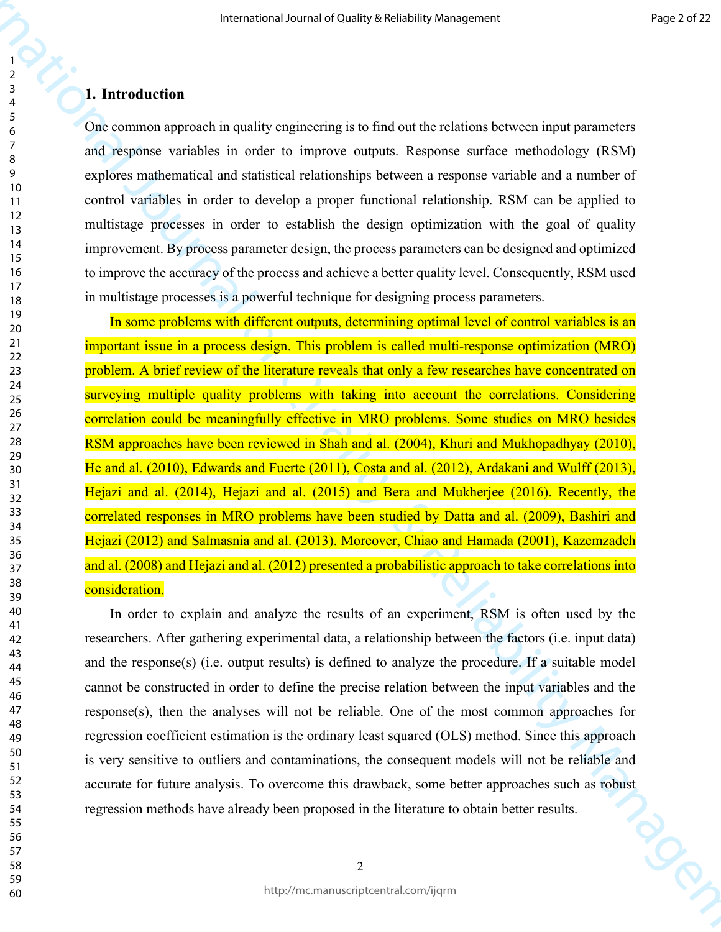#### **1. Introduction**

One common approach in quality engineering is to find out the relations between input parameters and response variables in order to improve outputs. Response surface methodology (RSM) explores mathematical and statistical relationships between a response variable and a number of control variables in order to develop a proper functional relationship. RSM can be applied to multistage processes in order to establish the design optimization with the goal of quality improvement. By process parameter design, the process parameters can be designed and optimized to improve the accuracy of the process and achieve a better quality level. Consequently, RSM used in multistage processes is a powerful technique for designing process parameters.

**Fractional of Duality Andreas Constrained Source and Theorem is a stationary of the Constrained Constrained Constrained Constrained Constrained Constrained Constrained Constrained Constrained Constrained Constrained Cons** In some problems with different outputs, determining optimal level of control variables is an important issue in a process design. This problem is called multi-response optimization (MRO) problem. A brief review of the literature reveals that only a few researches have concentrated on surveying multiple quality problems with taking into account the correlations. Considering correlation could be meaningfully effective in MRO problems. Some studies on MRO besides RSM approaches have been reviewed in Shah and al. (2004), Khuri and Mukhopadhyay (2010), He and al. (2010), Edwards and Fuerte (2011), Costa and al. (2012), Ardakani and Wulff (2013), Hejazi and al. (2014), Hejazi and al. (2015) and Bera and Mukherjee (2016). Recently, the correlated responses in MRO problems have been studied by Datta and al. (2009), Bashiri and Hejazi (2012) and Salmasnia and al. (2013). Moreover, Chiao and Hamada (2001), Kazemzadeh and al. (2008) and Hejazi and al. (2012) presented a probabilistic approach to take correlations into consideration.

In order to explain and analyze the results of an experiment, RSM is often used by the researchers. After gathering experimental data, a relationship between the factors (i.e. input data) and the response(s) (i.e. output results) is defined to analyze the procedure. If a suitable model cannot be constructed in order to define the precise relation between the input variables and the response(s), then the analyses will not be reliable. One of the most common approaches for regression coefficient estimation is the ordinary least squared (OLS) method. Since this approach is very sensitive to outliers and contaminations, the consequent models will not be reliable and accurate for future analysis. To overcome this drawback, some better approaches such as robust regression methods have already been proposed in the literature to obtain better results.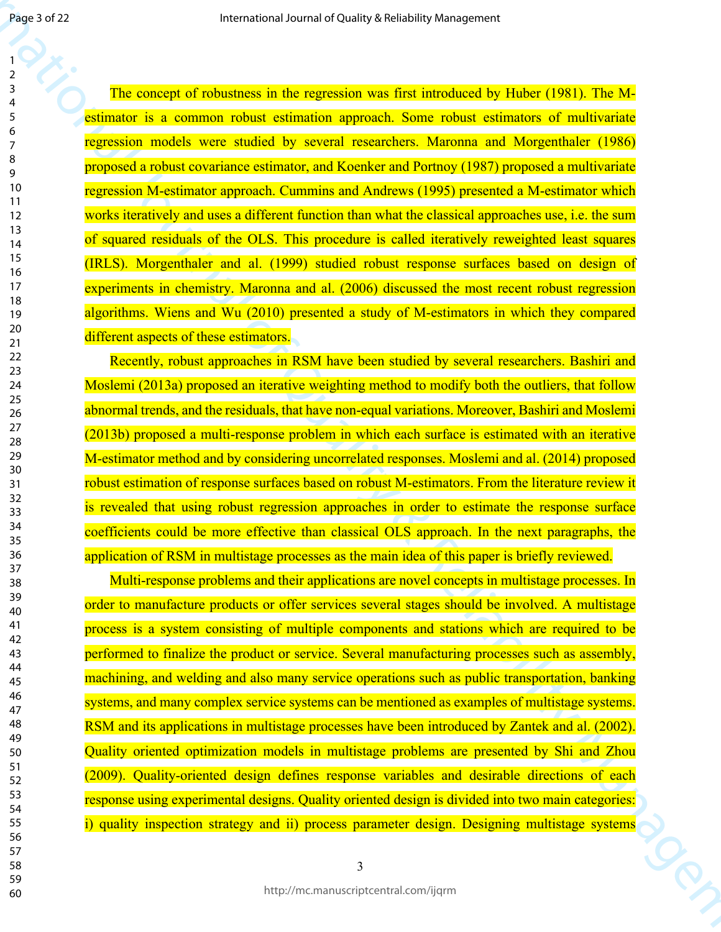1942-2022<br>
1942-2022<br>
1942-2023<br>
1943-2023 - The survey of the basebook of the survey of the functional by Habe (1581). The M-<br>
1953-2023 - The survey of the survey of the survey of the function of Mosquadement (1981).<br> The concept of robustness in the regression was first introduced by Huber (1981). The Mestimator is a common robust estimation approach. Some robust estimators of multivariate regression models were studied by several researchers. Maronna and Morgenthaler (1986) proposed a robust covariance estimator, and Koenker and Portnoy (1987) proposed a multivariate regression M-estimator approach. Cummins and Andrews (1995) presented a M-estimator which works iteratively and uses a different function than what the classical approaches use, i.e. the sum of squared residuals of the OLS. This procedure is called iteratively reweighted least squares (IRLS). Morgenthaler and al. (1999) studied robust response surfaces based on design of experiments in chemistry. Maronna and al. (2006) discussed the most recent robust regression algorithms. Wiens and Wu (2010) presented a study of M-estimators in which they compared different aspects of these estimators.

Recently, robust approaches in RSM have been studied by several researchers. Bashiri and Moslemi (2013a) proposed an iterative weighting method to modify both the outliers, that follow abnormal trends, and the residuals, that have non-equal variations. Moreover, Bashiri and Moslemi (2013b) proposed a multi-response problem in which each surface is estimated with an iterative M-estimator method and by considering uncorrelated responses. Moslemi and al. (2014) proposed robust estimation of response surfaces based on robust M-estimators. From the literature review it is revealed that using robust regression approaches in order to estimate the response surface coefficients could be more effective than classical OLS approach. In the next paragraphs, the application of RSM in multistage processes as the main idea of this paper is briefly reviewed.

Multi-response problems and their applications are novel concepts in multistage processes. In order to manufacture products or offer services several stages should be involved. A multistage process is a system consisting of multiple components and stations which are required to be performed to finalize the product or service. Several manufacturing processes such as assembly, machining, and welding and also many service operations such as public transportation, banking systems, and many complex service systems can be mentioned as examples of multistage systems. RSM and its applications in multistage processes have been introduced by Zantek and al. (2002). Quality oriented optimization models in multistage problems are presented by Shi and Zhou (2009). Quality-oriented design defines response variables and desirable directions of each response using experimental designs. Quality oriented design is divided into two main categories: i) quality inspection strategy and ii) process parameter design. Designing multistage systems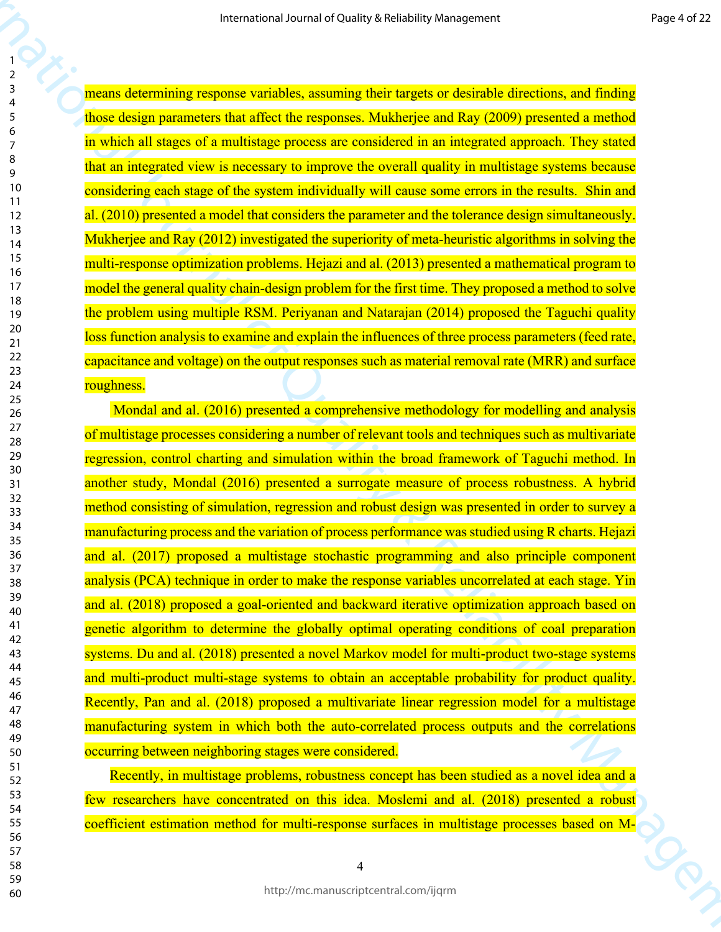means determining response variables, assuming their targets or desirable directions, and finding those design parameters that affect the responses. Mukherjee and Ray (2009) presented a method in which all stages of a multistage process are considered in an integrated approach. They stated that an integrated view is necessary to improve the overall quality in multistage systems because considering each stage of the system individually will cause some errors in the results. Shin and al. (2010) presented a model that considers the parameter and the tolerance design simultaneously. Mukherjee and Ray (2012) investigated the superiority of meta-heuristic algorithms in solving the multi-response optimization problems. Hejazi and al. (2013) presented a mathematical program to model the general quality chain-design problem for the first time. They proposed a method to solve the problem using multiple RSM. Periyanan and Natarajan (2014) proposed the Taguchi quality loss function analysis to examine and explain the influences of three process parameters (feed rate, capacitance and voltage) on the output responses such as material removal rate (MRR) and surface roughness.

Franchistan Source of Delity Arcivista Street of Burious Presidents<br>
1982<br>
2000 Control of the Control of Control of Control of Control of The Control of Control of Control of Control of Control of Control of The Street o Mondal and al. (2016) presented a comprehensive methodology for modelling and analysis of multistage processes considering a number of relevant tools and techniques such as multivariate regression, control charting and simulation within the broad framework of Taguchi method. In another study, Mondal (2016) presented a surrogate measure of process robustness. A hybrid method consisting of simulation, regression and robust design was presented in order to survey a manufacturing process and the variation of process performance was studied using R charts. Hejazi and al. (2017) proposed a multistage stochastic programming and also principle component analysis (PCA) technique in order to make the response variables uncorrelated at each stage. Yin and al. (2018) proposed a goal-oriented and backward iterative optimization approach based on genetic algorithm to determine the globally optimal operating conditions of coal preparation systems. Du and al. (2018) presented a novel Markov model for multi-product two-stage systems and multi-product multi-stage systems to obtain an acceptable probability for product quality. Recently, Pan and al. (2018) proposed a multivariate linear regression model for a multistage manufacturing system in which both the auto-correlated process outputs and the correlations occurring between neighboring stages were considered.

Recently, in multistage problems, robustness concept has been studied as a novel idea and a few researchers have concentrated on this idea. Moslemi and al. (2018) presented a robust coefficient estimation method for multi-response surfaces in multistage processes based on M-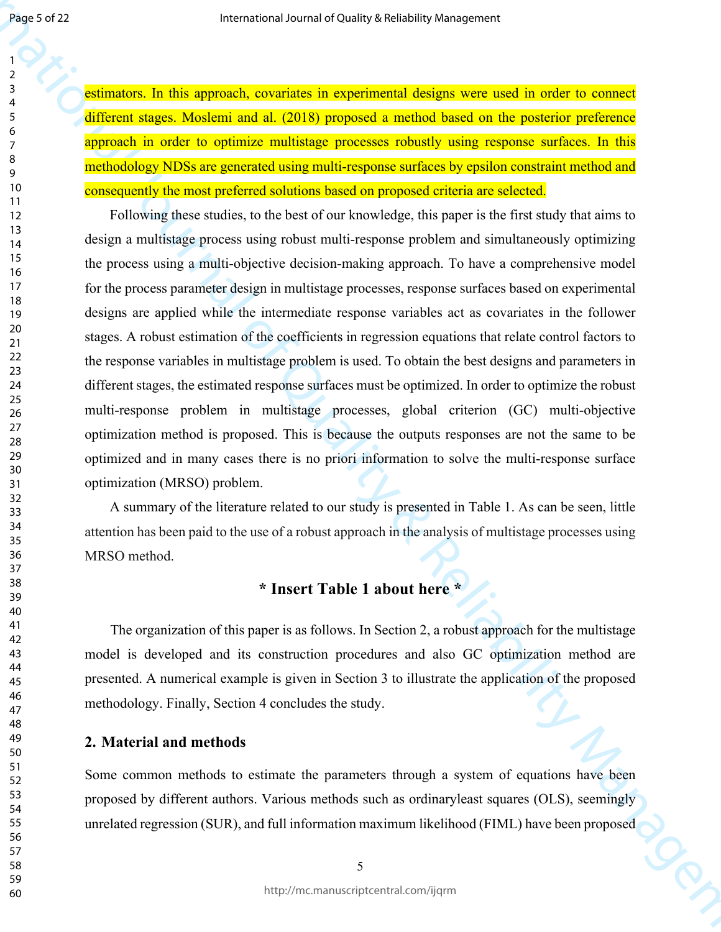estimators. In this approach, covariates in experimental designs were used in order to connect different stages. Moslemi and al. (2018) proposed a method based on the posterior preference approach in order to optimize multistage processes robustly using response surfaces. In this methodology NDSs are generated using multi-response surfaces by epsilon constraint method and consequently the most preferred solutions based on proposed criteria are selected.

**Processor 22**<br> **Externation Control Control Control Control Control Control Control Control Control Control Control Control Control Control Control Control Control Control Control Control Control Control Control Contro** Following these studies, to the best of our knowledge, this paper is the first study that aims to design a multistage process using robust multi-response problem and simultaneously optimizing the process using a multi-objective decision-making approach. To have a comprehensive model for the process parameter design in multistage processes, response surfaces based on experimental designs are applied while the intermediate response variables act as covariates in the follower stages. A robust estimation of the coefficients in regression equations that relate control factors to the response variables in multistage problem is used. To obtain the best designs and parameters in different stages, the estimated response surfaces must be optimized. In order to optimize the robust multi-response problem in multistage processes, global criterion (GC) multi-objective optimization method is proposed. This is because the outputs responses are not the same to be optimized and in many cases there is no priori information to solve the multi-response surface optimization (MRSO) problem.

A summary of the literature related to our study is presented in Table 1. As can be seen, little attention has been paid to the use of a robust approach in the analysis of multistage processes using MRSO method.

## **\* Insert Table 1 about here \***

The organization of this paper is as follows. In Section 2, a robust approach for the multistage model is developed and its construction procedures and also GC optimization method are presented. A numerical example is given in Section 3 to illustrate the application of the proposed methodology. Finally, Section 4 concludes the study.

#### **2. Material and methods**

Some common methods to estimate the parameters through a system of equations have been proposed by different authors. Various methods such as ordinaryleast squares (OLS), seemingly unrelated regression (SUR), and full information maximum likelihood (FIML) have been proposed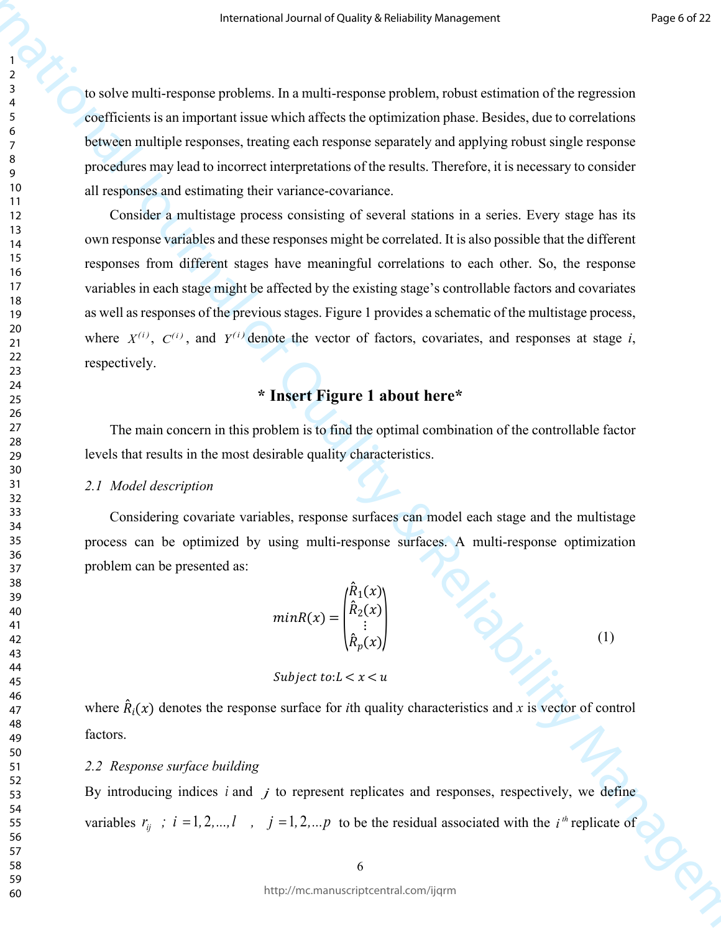to solve multi-response problems. In a multi-response problem, robust estimation of the regression coefficients is an important issue which affects the optimization phase. Besides, due to correlations between multiple responses, treating each response separately and applying robust single response procedures may lead to incorrect interpretations of the results. Therefore, it is necessary to consider all responses and estimating their variance-covariance.

**Procedure in the contention** Source of Chainles and the New York of Chain and the Chain and the Chain and the Chain and the Chain and the Chain and the Chain and the Chain and the Chain and the Chain and the Chain and th Consider a multistage process consisting of several stations in a series. Every stage has its own response variables and these responses might be correlated. It is also possible that the different responses from different stages have meaningful correlations to each other. So, the response variables in each stage might be affected by the existing stage's controllable factors and covariates as well as responses of the previous stages. Figure 1 provides a schematic of the multistage process, where  $X^{(i)}$ ,  $C^{(i)}$ , and  $Y^{(i)}$  denote the vector of factors, covariates, and responses at stage *i*, respectively.

## **\* Insert Figure 1 about here\***

The main concern in this problem is to find the optimal combination of the controllable factor levels that results in the most desirable quality characteristics.

#### *2.1 Model description*

Considering covariate variables, response surfaces can model each stage and the multistage process can be optimized by using multi-response surfaces. A multi-response optimization problem can be presented as:

$$
minR(x) = \begin{pmatrix} \hat{R}_1(x) \\ \hat{R}_2(x) \\ \vdots \\ \hat{R}_p(x) \end{pmatrix}
$$
 (1)

Subject to: $L < x < u$ 

where  $\hat{R}_i(x)$  denotes the response surface for *i*th quality characteristics and *x* is vector of control factors.

#### *2.2 Response surface building*

By introducing indices  $i$  and  $j$  to represent replicates and responses, respectively, we define variables  $r_{ij}$ ;  $i = 1, 2, ..., l$ ,  $j = 1, 2, ..., p$  to be the residual associated with the  $i^{th}$  replicate of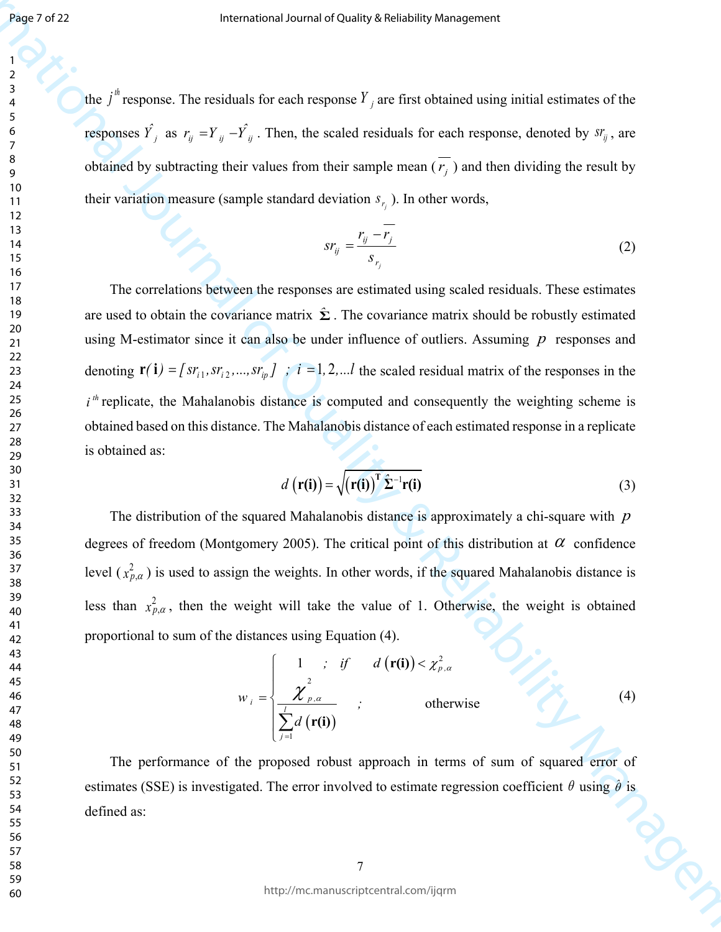the  $j^{th}$  response. The residuals for each response  $Y_j$  are first obtained using initial estimates of the responses  $\hat{Y}_j$  as  $r_{ij} = Y_{ij} - \hat{Y}_{ij}$ . Then, the scaled residuals for each response, denoted by  $sr_{ij}$ , are obtained by subtracting their values from their sample mean  $(\overline{r_j})$  and then dividing the result by their variation measure (sample standard deviation  $s_{r_i}$ ). In other words,

$$
sr_{ij} = \frac{r_{ij} - r_j}{s_{r_j}}
$$
 (2)

**INSERIGN CONTROLLER CONTROLLER CONTROLLER CONTROLLER CONTROLLER CONTROLLER CONTROLLER CONTROLLER CONTROLLER CONTROLLER CONTROLLER CONTROLLER CONTROLLER CONTROLLER CONTROLLER CONTROLLER CONTROLLER CONTROLLER CONTROLLER CO** The correlations between the responses are estimated using scaled residuals. These estimates are used to obtain the covariance matrix  $\hat{\Sigma}$ . The covariance matrix should be robustly estimated using M-estimator since it can also be under influence of outliers. Assuming  $p$  responses and denoting  $\mathbf{r}(i) = [sr_{i1}, sr_{i2}, ..., sr_{ip}]$  ;  $i = 1, 2, ...l$  the scaled residual matrix of the responses in the  $i<sup>th</sup>$  replicate, the Mahalanobis distance is computed and consequently the weighting scheme is obtained based on this distance. The Mahalanobis distance of each estimated response in a replicate is obtained as:

$$
d\left(\mathbf{r(i)}\right) = \sqrt{\left(\mathbf{r(i)}\right)^{\mathrm{T}}\hat{\boldsymbol{\Sigma}}^{-1}\mathbf{r(i)}}
$$
\n(3)

The distribution of the squared Mahalanobis distance is approximately a chi-square with *p* degrees of freedom (Montgomery 2005). The critical point of this distribution at  $\alpha$  confidence level  $(x_{p,q}^2)$  is used to assign the weights. In other words, if the squared Mahalanobis distance is less than  $x_{p,q}^2$ , then the weight will take the value of 1. Otherwise, the weight is obtained proportional to sum of the distances using Equation (4).

$$
w_{i} = \begin{cases} 1 & ; if \quad d(\mathbf{r}(\mathbf{i})) < \chi^{2}_{p,\alpha} \\ \frac{\chi^{2}_{p,\alpha}}{\sum_{j=1}^{l} d(\mathbf{r}(\mathbf{i}))} & ; \end{cases}
$$
 otherwise (4)

The performance of the proposed robust approach in terms of sum of squared error of estimates (SSE) is investigated. The error involved to estimate regression coefficient  $\theta$  using  $\hat{\theta}$  is defined as: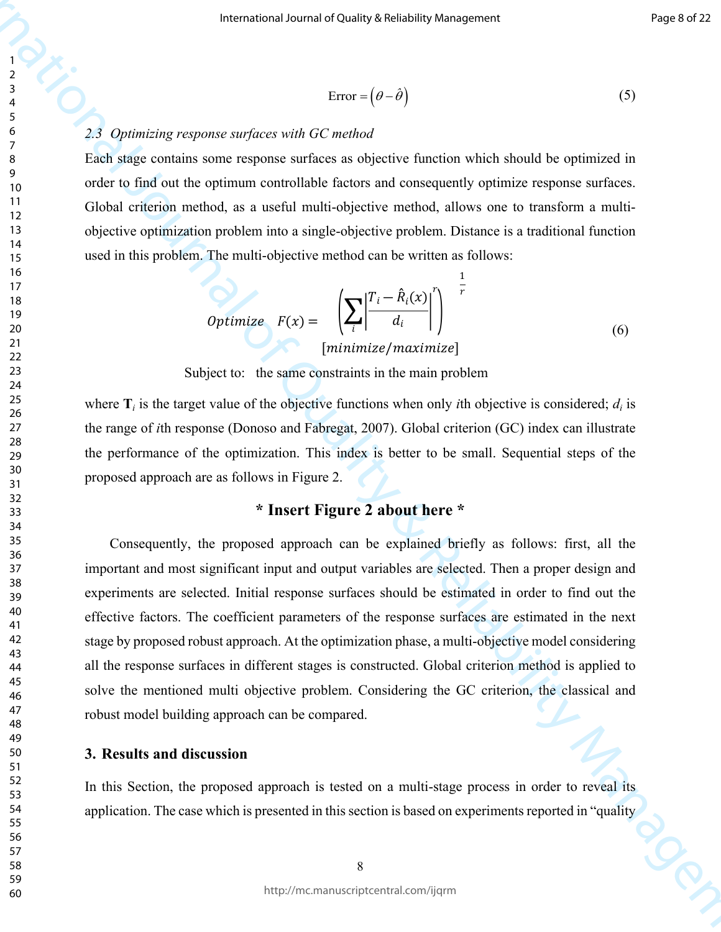$$
Error = (\theta - \hat{\theta}) \tag{5}
$$

#### *2.3 Optimizing response surfaces with GC method*

Each stage contains some response surfaces as objective function which should be optimized in order to find out the optimum controllable factors and consequently optimize response surfaces. Global criterion method, as a useful multi-objective method, allows one to transform a multiobjective optimization problem into a single-objective problem. Distance is a traditional function used in this problem. The multi-objective method can be written as follows:

$$
Optimize \tF(x) = \left(\sum_{i} \left| \frac{T_i - \hat{R}_i(x)}{d_i} \right|^r \right)^{-\frac{1}{r}}
$$
  
[minimize/maximize] (6)

Subject to: the same constraints in the main problem

where  $\mathbf{T}_i$  is the target value of the objective functions when only *i*th objective is considered;  $d_i$  is the range of *i*th response (Donoso and Fabregat, 2007). Global criterion (GC) index can illustrate the performance of the optimization. This index is better to be small. Sequential steps of the proposed approach are as follows in Figure 2.

## **\* Insert Figure 2 about here \***

Fractional Source of the other is a set of Constraint Source and Constraint Source of Constraint Constraint Constraint Constraint Constraint Constraint Constraint Constraint Constraint Constraint Constraint Constraint Con Consequently, the proposed approach can be explained briefly as follows: first, all the important and most significant input and output variables are selected. Then a proper design and experiments are selected. Initial response surfaces should be estimated in order to find out the effective factors. The coefficient parameters of the response surfaces are estimated in the next stage by proposed robust approach. At the optimization phase, a multi-objective model considering all the response surfaces in different stages is constructed. Global criterion method is applied to solve the mentioned multi objective problem. Considering the GC criterion, the classical and robust model building approach can be compared.

#### **3. Results and discussion**

In this Section, the proposed approach is tested on a multi-stage process in order to reveal its application. The case which is presented in this section is based on experiments reported in "quality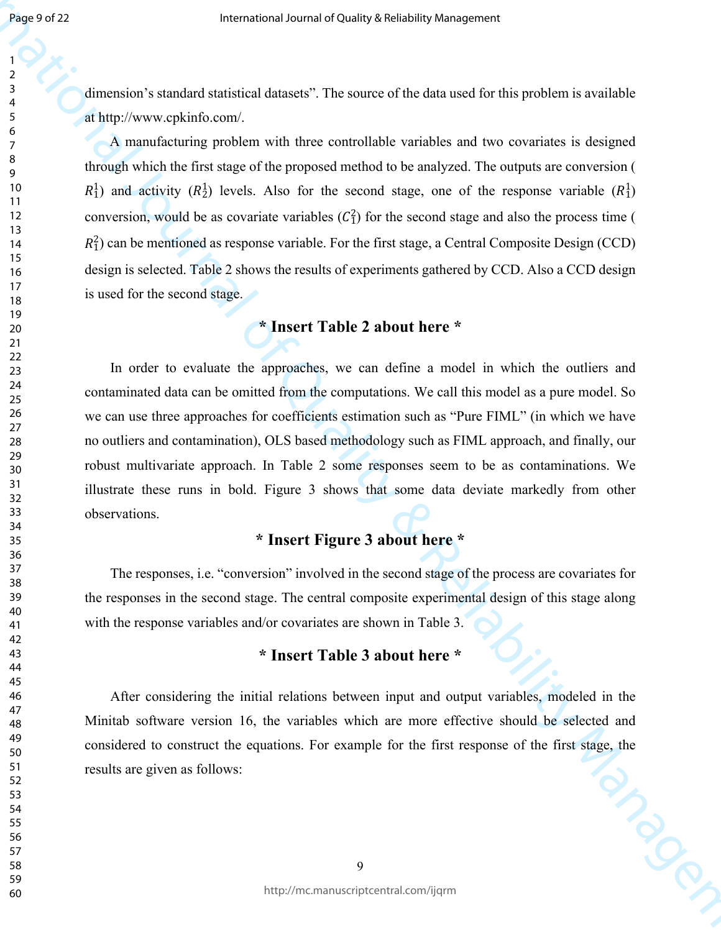dimension's standard statistical datasets". The source of the data used for this problem is available at http://www.cpkinfo.com/.

**Processor 22**<br> **Example 20. Co[n](http://www.cpkinfo.com/)sider the Consider State and Consider State and Consider State and Consider Analysis of the Consideration Consider Analysis of Consider Analysis of Analysis with the Consider State and Co** A manufacturing problem with three controllable variables and two covariates is designed through which the first stage of the proposed method to be analyzed. The outputs are conversion (  $R_1^1$ ) and activity  $(R_2^1)$  levels. Also for the second stage, one of the response variable  $(R_1^1)$ conversion, would be as covariate variables  $(C_1^2)$  for the second stage and also the process time (  $R_1^2$ ) can be mentioned as response variable. For the first stage, a Central Composite Design (CCD) design is selected. Table 2 shows the results of experiments gathered by CCD. Also a CCD design is used for the second stage.

## **\* Insert Table 2 about here \***

In order to evaluate the approaches, we can define a model in which the outliers and contaminated data can be omitted from the computations. We call this model as a pure model. So we can use three approaches for coefficients estimation such as "Pure FIML" (in which we have no outliers and contamination), OLS based methodology such as FIML approach, and finally, our robust multivariate approach. In Table 2 some responses seem to be as contaminations. We illustrate these runs in bold. Figure 3 shows that some data deviate markedly from other observations.

## **\* Insert Figure 3 about here \***

The responses, i.e. "conversion" involved in the second stage of the process are covariates for the responses in the second stage. The central composite experimental design of this stage along with the response variables and/or covariates are shown in Table 3.

## **\* Insert Table 3 about here \***

After considering the initial relations between input and output variables, modeled in the Minitab software version 16, the variables which are more effective should be selected and considered to construct the equations. For example for the first response of the first stage, the results are given as follows: results are given as follows: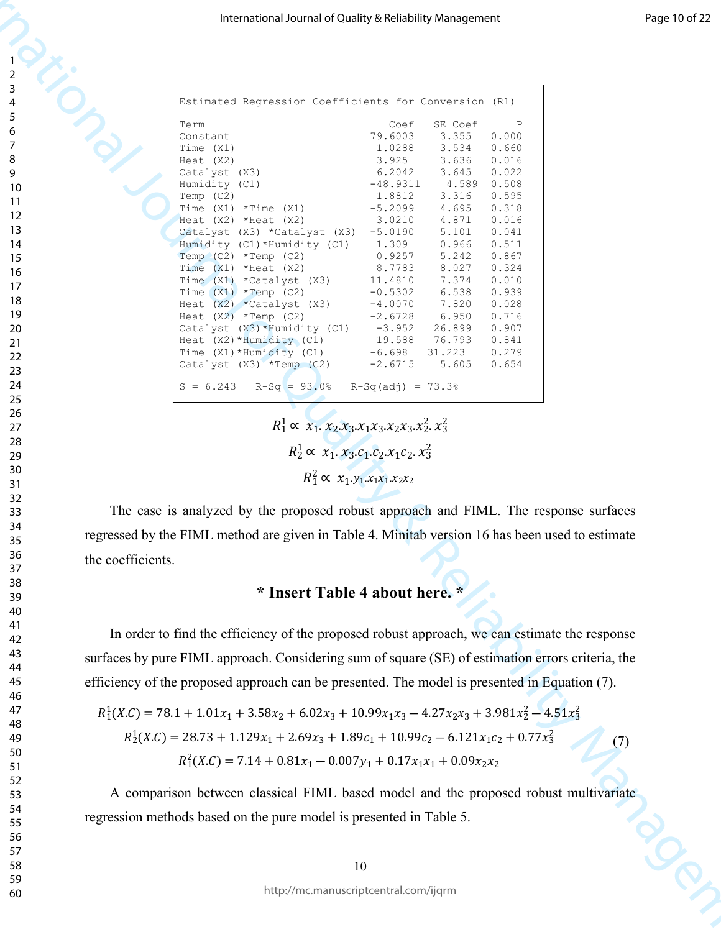| 1                                         |  |
|-------------------------------------------|--|
|                                           |  |
| 2                                         |  |
| 3                                         |  |
| 4                                         |  |
|                                           |  |
| 5                                         |  |
| 6                                         |  |
|                                           |  |
|                                           |  |
| 8                                         |  |
| 9<br>$\mathbf$                            |  |
|                                           |  |
| 10                                        |  |
| 1<br>$\mathbf{1}$                         |  |
|                                           |  |
| $\mathbf{1}$<br>フ                         |  |
| 13                                        |  |
| 1<br>4                                    |  |
|                                           |  |
| 15                                        |  |
| 16                                        |  |
|                                           |  |
| 1                                         |  |
| 18                                        |  |
| 19                                        |  |
|                                           |  |
| 20                                        |  |
| $\overline{21}$                           |  |
|                                           |  |
| $\overline{2}$<br>,                       |  |
| $\overline{2}$<br>3                       |  |
| $\overline{24}$                           |  |
|                                           |  |
| 25                                        |  |
| 26                                        |  |
|                                           |  |
| $^{27}$                                   |  |
| 28                                        |  |
| 29                                        |  |
|                                           |  |
| 30                                        |  |
| $\overline{31}$                           |  |
|                                           |  |
| $\overline{\mathbf{3}}$<br>$\overline{2}$ |  |
| $\overline{\mathbf{3}}$<br>3              |  |
|                                           |  |
| 34                                        |  |
| 35                                        |  |
| 36                                        |  |
|                                           |  |
| 37                                        |  |
| 38                                        |  |
|                                           |  |
| 39                                        |  |
| 40                                        |  |
| 41                                        |  |
|                                           |  |
| 42                                        |  |
| 43                                        |  |
|                                           |  |
| 44                                        |  |
| 45                                        |  |
|                                           |  |
| 46                                        |  |
| 47                                        |  |
| 48                                        |  |
|                                           |  |
| 49                                        |  |
| 50                                        |  |
| 51                                        |  |
|                                           |  |
| 5<br>2                                    |  |
| 53                                        |  |
|                                           |  |
| 54                                        |  |
| 55                                        |  |
|                                           |  |
| 56                                        |  |
| 57                                        |  |
| 58                                        |  |
|                                           |  |
| 59                                        |  |
| 60                                        |  |
|                                           |  |
|                                           |  |

|                   | International Journal of Quality & Reliability Management                                                                    |
|-------------------|------------------------------------------------------------------------------------------------------------------------------|
|                   |                                                                                                                              |
|                   | Estimated Regression Coefficients for Conversion (R1)                                                                        |
|                   | SE Coef<br>Term<br>Ρ<br>Coef<br>79.6003<br>3.355<br>0.000<br>Constant                                                        |
|                   | Time (X1)<br>1.0288<br>3.534<br>0.660<br>3.925<br>Heat (X2)<br>3.636<br>0.016                                                |
|                   | 6.2042<br>3.645<br>Catalyst (X3)<br>0.022                                                                                    |
|                   | 4.589<br>0.508<br>Humidity (C1)<br>$-48.9311$<br>Temp (C2)<br>1.8812<br>3.316<br>0.595                                       |
|                   | $-5.2099$<br>Time $(X1)$ *Time $(X1)$<br>4.695<br>0.318                                                                      |
|                   | Heat $(X2)$ *Heat $(X2)$<br>3.0210<br>4.871<br>0.016<br>Catalyst (X3) *Catalyst (X3)<br>$-5.0190$<br>5.101<br>0.041          |
|                   | 0.966<br>0.511<br>Humidity (C1)*Humidity (C1)<br>1.309<br>0.9257<br>Temp $(C2)$ *Temp $(C2)$<br>5.242<br>0.867               |
|                   | 8.7783<br>Time $(X1)$ *Heat $(X2)$<br>8.027<br>0.324                                                                         |
|                   | 0.010<br>Time (X1) *Catalyst (X3)<br>11.4810<br>7.374<br>6.538<br>Time $(X1)$ *Temp $(C2)$<br>$-0.5302$<br>0.939             |
|                   | 7.820<br>0.028<br>Heat $(X2)$ *Catalyst $(X3)$<br>$-4.0070$<br>Heat $(X2)$ *Temp $(C2)$<br>$-2.6728$<br>6.950<br>0.716       |
|                   | Catalyst $(X3) *$ Humidity $(C1)$<br>$-3.952$<br>26.899<br>0.907<br>Heat $(X2) * Humidity (C1)$<br>19.588<br>0.841<br>76.793 |
|                   | $-6.698$<br>0.279<br>Time $(X1) *$ Humidity $(C1)$<br>31.223                                                                 |
|                   | $-2.6715$<br>Catalyst $(X3)$ *Temp $(C2)$<br>5.605<br>0.654<br>$S = 6.243$<br>$R-Sq = 93.0$<br>$R-Sq(adj) = 73.3%$           |
|                   |                                                                                                                              |
|                   | $R_1^1 \propto x_1. x_2. x_3. x_1 x_3. x_2 x_3. x_2^2. x_3^2$                                                                |
|                   | $R_2^1 \propto x_1. x_3. c_1. c_2. x_1 c_2. x_3^2$<br>$R_1^2 \propto x_1 y_1 x_1 x_1 x_2 x_2$                                |
|                   |                                                                                                                              |
|                   | The case is analyzed by the proposed robust approach and FIML. The response surfaces                                         |
|                   | regressed by the FIML method are given in Table 4. Minitab version 16 has been used to estimate                              |
| the coefficients. |                                                                                                                              |
|                   | * Insert Table 4 about here. *                                                                                               |
|                   | In order to find the efficiency of the proposed robust approach, we can estimate the response                                |
|                   | surfaces by pure FIML approach. Considering sum of square (SE) of estimation errors criteria, the                            |
|                   | efficiency of the proposed approach can be presented. The model is presented in Equation (7).                                |
|                   | $R_1^1(X.C) = 78.1 + 1.01x_1 + 3.58x_2 + 6.02x_3 + 10.99x_1x_3 - 4.27x_2x_3 + 3.981x_2^2 - 4.51x_3^2$                        |
|                   | $R_2^1(X.C) = 28.73 + 1.129x_1 + 2.69x_3 + 1.89c_1 + 10.99c_2 - 6.121x_1c_2 + 0.77x_3^2$                                     |
|                   | (7)                                                                                                                          |
|                   | $R_1^2(X.C) = 7.14 + 0.81x_1 - 0.007y_1 + 0.17x_1x_1 + 0.09x_2x_2$                                                           |
|                   | A comparison between classical FIML based model and the proposed robust multivariate                                         |
|                   | regression methods based on the pure model is presented in Table 5.                                                          |
|                   |                                                                                                                              |
|                   |                                                                                                                              |
|                   | 10<br>http://mc.manuscriptcentral.com/ijqrm                                                                                  |

## **\* Insert Table 4 about here. \***

$$
R_1^1(X.C) = 78.1 + 1.01x_1 + 3.58x_2 + 6.02x_3 + 10.99x_1x_3 - 4.27x_2x_3 + 3.981x_2^2 - 4.51x_3^2
$$
  
\n
$$
R_2^1(X.C) = 28.73 + 1.129x_1 + 2.69x_3 + 1.89c_1 + 10.99c_2 - 6.121x_1c_2 + 0.77x_3^2
$$
  
\n
$$
R_1^2(X.C) = 7.14 + 0.81x_1 - 0.007y_1 + 0.17x_1x_1 + 0.09x_2x_2
$$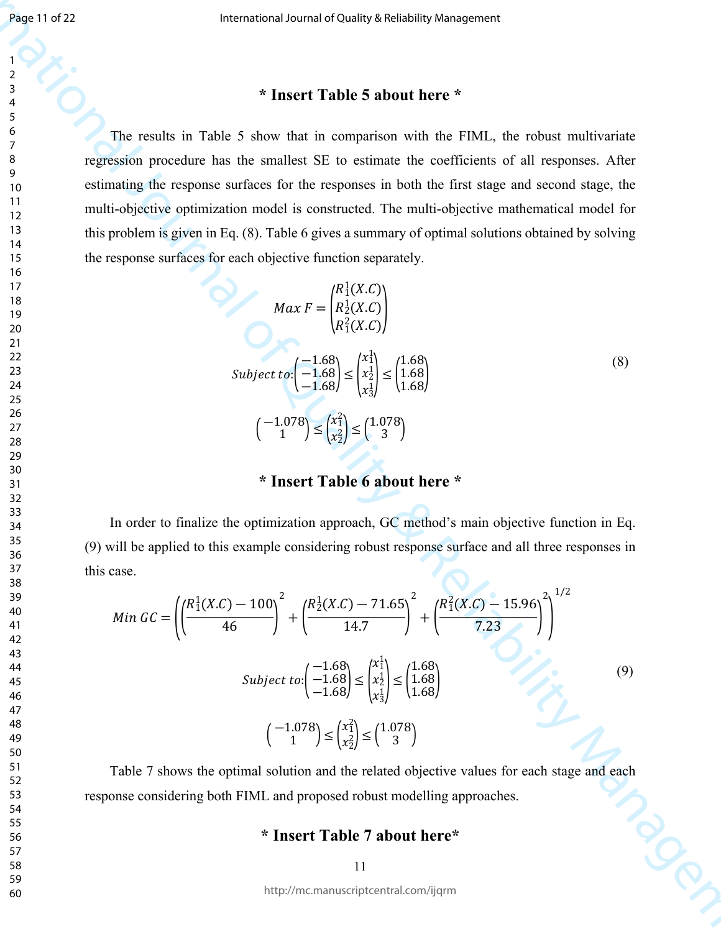## **\* Insert Table 5 about here \***

The results in Table 5 show that in comparison with the FIML, the robust multivariate regression procedure has the smallest SE to estimate the coefficients of all responses. After estimating the response surfaces for the responses in both the first stage and second stage, the multi-objective optimization model is constructed. The multi-objective mathematical model for this problem is given in Eq. (8). Table 6 gives a summary of optimal solutions obtained by solving the response surfaces for each objective function separately.

$$
Max F = \begin{pmatrix} R_1^1(X.C) \\ R_2^1(X.C) \\ R_1^2(X.C) \end{pmatrix}
$$
  
Subject to:  $\begin{pmatrix} -1.68 \\ -1.68 \end{pmatrix} \le \begin{pmatrix} x_1^1 \\ x_2^1 \\ x_3^1 \end{pmatrix} \le \begin{pmatrix} 1.68 \\ 1.68 \\ 1.68 \end{pmatrix}$   
 $\begin{pmatrix} -1.078 \\ 1 \end{pmatrix} \le \begin{pmatrix} x_1^2 \\ x_2^2 \end{pmatrix} \le \begin{pmatrix} 1.078 \\ 3 \end{pmatrix}$  (8)

## **\* Insert Table 6 about here \***

In order to finalize the optimization approach, GC method's main objective function in Eq. (9) will be applied to this example considering robust response surface and all three responses in this case.

International Journal of Quality & Reliability Management = (( 1 1(.) ― 100 46 ) 2 + ( 1 2(.) ― 71.65 14.7 ) 2 + ( 2 1(.) ― 15.96 7.23 ) 2 ) 1/2 :( ―1.68 ―1.68 ―1.68) <sup>≤</sup> ( 1 1 1 2 1 3 ) <sup>≤</sup> ( 1.68 1.68 1.68) ( ―1.078 1 ) ≤ ( 2 1 2 2 ) ≤ ( 1.078 3 ) (9)

Table 7 shows the optimal solution and the related objective values for each stage and each<br>onse considering both FIML and proposed robust modelling approaches.<br>\* Insert Table 7 about here\*<br>11 response considering both FIML and proposed robust modelling approaches.

#### **\* Insert Table 7 about here\***

http://mc.manuscriptcentral.com/ijqrm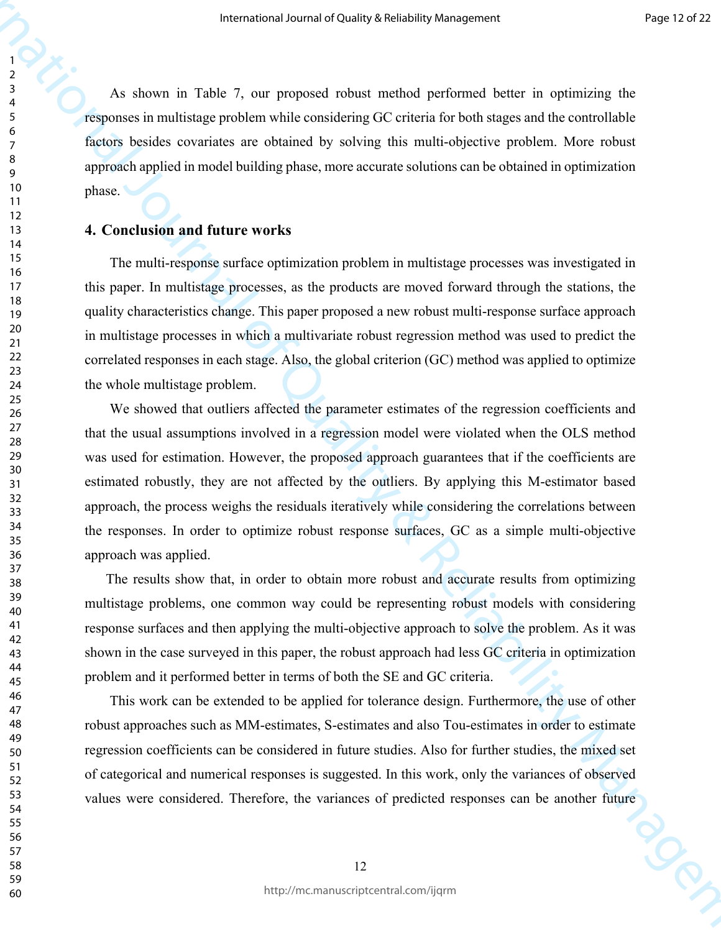As shown in Table 7, our proposed robust method performed better in optimizing the responses in multistage problem while considering GC criteria for both stages and the controllable factors besides covariates are obtained by solving this multi-objective problem. More robust approach applied in model building phase, more accurate solutions can be obtained in optimization phase.

#### **4. Conclusion and future works**

The multi-response surface optimization problem in multistage processes was investigated in this paper. In multistage processes, as the products are moved forward through the stations, the quality characteristics change. This paper proposed a new robust multi-response surface approach in multistage processes in which a multivariate robust regression method was used to predict the correlated responses in each stage. Also, the global criterion (GC) method was applied to optimize the whole multistage problem.

**Extractional of Cality density between the system of Cality American serves and the system of the control of the system of the control of California and the control of California California and the control of California** We showed that outliers affected the parameter estimates of the regression coefficients and that the usual assumptions involved in a regression model were violated when the OLS method was used for estimation. However, the proposed approach guarantees that if the coefficients are estimated robustly, they are not affected by the outliers. By applying this M-estimator based approach, the process weighs the residuals iteratively while considering the correlations between the responses. In order to optimize robust response surfaces, GC as a simple multi-objective approach was applied.

The results show that, in order to obtain more robust and accurate results from optimizing multistage problems, one common way could be representing robust models with considering response surfaces and then applying the multi-objective approach to solve the problem. As it was shown in the case surveyed in this paper, the robust approach had less GC criteria in optimization problem and it performed better in terms of both the SE and GC criteria.

This work can be extended to be applied for tolerance design. Furthermore, the use of other robust approaches such as MM-estimates, S-estimates and also Tou-estimates in order to estimate regression coefficients can be considered in future studies. Also for further studies, the mixed set of categorical and numerical responses is suggested. In this work, only the variances of observed values were considered. Therefore, the variances of predicted responses can be another future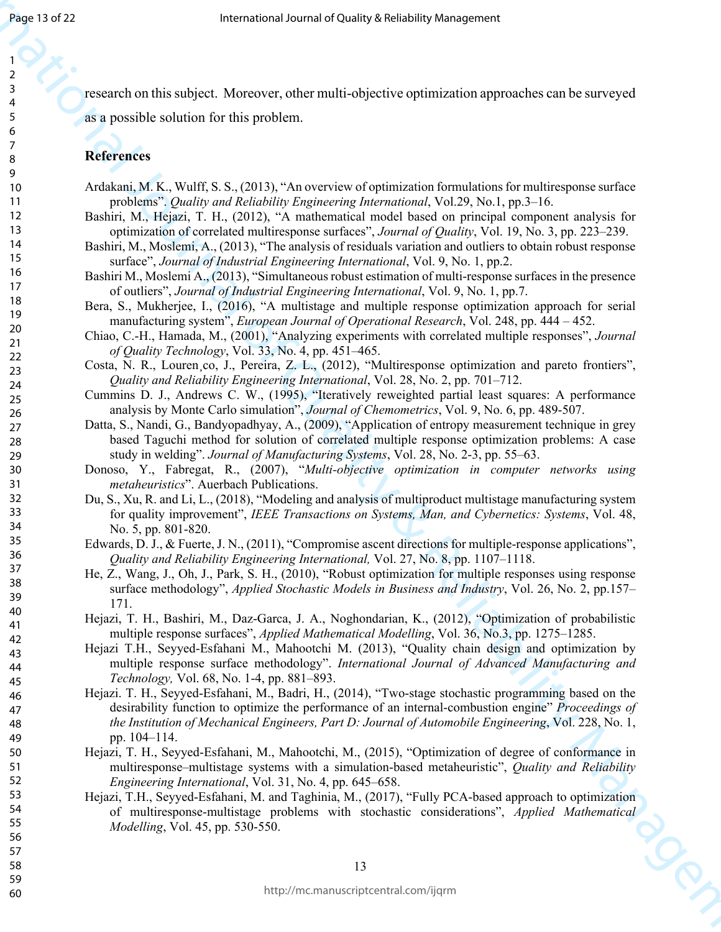research on this subject. Moreover, other multi-objective optimization approaches can be surveyed as a possible solution for this problem.

#### **References**

- Ardakani, M. K., Wulff, S. S., (2013), "An overview of optimization formulations for multiresponse surface problems". *Quality and Reliability Engineering International*, Vol.29, No.1, pp.3–16.
- Bashiri, M., Hejazi, T. H., (2012), "A mathematical model based on principal component analysis for optimization of correlated multiresponse surfaces", *Journal of Quality*, Vol. 19, No. 3, pp. 223–239.
- Bashiri, M., Moslemi, A., (2013), "The analysis of residuals variation and outliers to obtain robust response surface", *Journal of Industrial Engineering International*, Vol. 9, No. 1, pp.2.
- Bashiri M., Moslemi A., (2013), "Simultaneous robust estimation of multi-response surfaces in the presence of outliers", *Journal of Industrial Engineering International*, Vol. 9, No. 1, pp.7.
- Bera, S., Mukherjee, I., (2016), "A multistage and multiple response optimization approach for serial manufacturing system", *European Journal of Operational Research*, Vol. 248, pp. 444 – 452.
- Chiao, C.-H., Hamada, M., (2001), "Analyzing experiments with correlated multiple responses", *Journal of Quality Technology*, Vol. 33, No. 4, pp. 451–465.
- Costa, N. R., Louren co, J., Pereira, Z. L., (2012), "Multiresponse optimization and pareto frontiers", *Quality and Reliability Engineering International*, Vol. 28, No. 2, pp. 701–712.
- Cummins D. J., Andrews C. W., (1995), "Iteratively reweighted partial least squares: A performance analysis by Monte Carlo simulation", *Journal of Chemometrics*, Vol. 9, No. 6, pp. 489-507.
- Datta, S., Nandi, G., Bandyopadhyay, A., (2009), "Application of entropy measurement technique in grey based Taguchi method for solution of correlated multiple response optimization problems: A case study in welding". *Journal of Manufacturing Systems*, Vol. 28, No. 2-3, pp. 55–63.
- Donoso, Y., Fabregat, R., (2007), "*Multi-objective optimization in computer networks using metaheuristics*". Auerbach Publications.
- Du, S., Xu, R. and Li, L., (2018), "Modeling and analysis of multiproduct multistage manufacturing system for quality improvement", *IEEE Transactions on Systems, Man, and Cybernetics: Systems*, Vol. 48, No. 5, pp. 801-820.
- Edwards, D. J., & Fuerte, J. N., (2011), "Compromise ascent directions for multiple-response applications", *Quality and Reliability Engineering International,* Vol. 27, No. 8, pp. 1107–1118.
- He, Z., Wang, J., Oh, J., Park, S. H., (2010), "Robust optimization for multiple responses using response surface methodology", *Applied Stochastic Models in Business and Industry*, Vol. 26, No. 2, pp.157– 171.
- Hejazi, T. H., Bashiri, M., Daz-Garca, J. A., Noghondarian, K., (2012), "Optimization of probabilistic multiple response surfaces", *Applied Mathematical Modelling*, Vol. 36, No.3, pp. 1275–1285.
- Hejazi T.H., Seyyed-Esfahani M., Mahootchi M. (2013), "Quality chain design and optimization by multiple response surface methodology". *International Journal of Advanced Manufacturing and Technology,* Vol. 68, No. 1-4, pp. 881–893.
- **Pass 15 dF2.**<br> **Passive Constraints And the School And the School And the School And the School And the School And the School And the School And the School And the School And the School And the School And the School And** Hejazi. T. H., Seyyed-Esfahani, M., Badri, H., (2014), "Two-stage stochastic programming based on the desirability function to optimize the performance of an internal-combustion engine" *Proceedings of the Institution of Mechanical Engineers, Part D: Journal of Automobile Engineering*, Vol. 228, No. 1, pp. 104–114.
	- Hejazi, T. H., Seyyed-Esfahani, M., Mahootchi, M., (2015), "Optimization of degree of conformance in multiresponse–multistage systems with a simulation-based metaheuristic", *Quality and Reliability Engineering International*, Vol. 31, No. 4, pp. 645–658.
	- Hejazi, T.H., Seyyed-Esfahani, M. and Taghinia, M., (2017), "Fully PCA-based approach to optimization of multiresponse-multistage problems with stochastic considerations", *Applied Mathematical Modelling*, Vol. 45, pp. 530-550.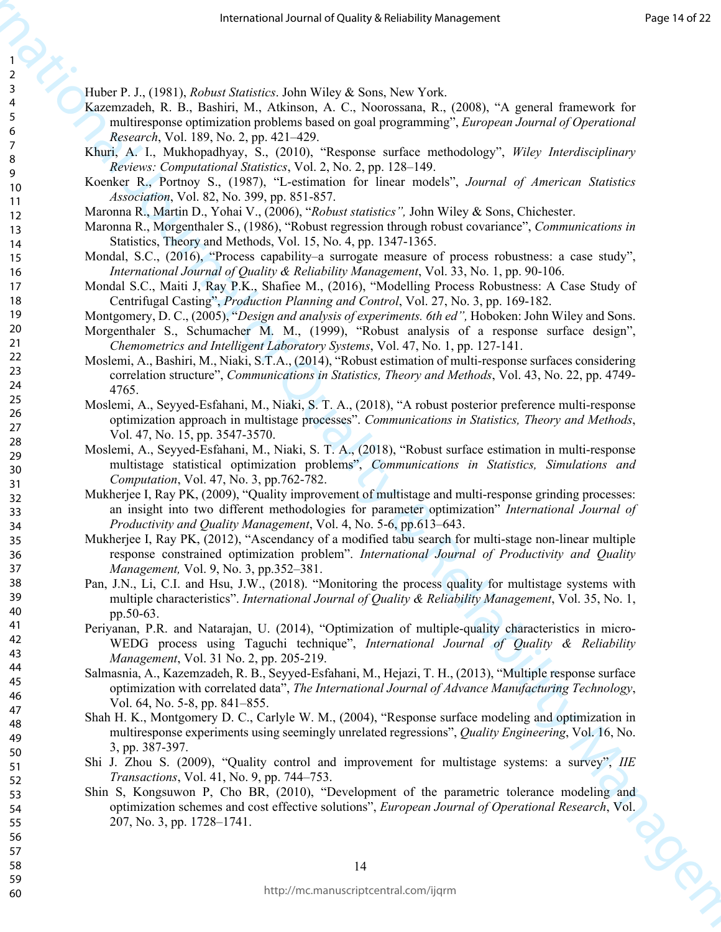Huber P. J., (1981), *Robust Statistics*. John Wiley & Sons, New York.

- Kazemzadeh, R. B., Bashiri, M., Atkinson, A. C., Noorossana, R., (2008), "A general framework for multiresponse optimization problems based on goal programming", *European Journal of Operational Research*, Vol. 189, No. 2, pp. 421–429.
- Khuri, A. I., Mukhopadhyay, S., (2010), "Response surface methodology", *Wiley Interdisciplinary Reviews: Computational Statistics*, Vol. 2, No. 2, pp. 128–149.
- Koenker R., Portnoy S., (1987), "L-estimation for linear models", *Journal of American Statistics Association*, Vol. 82, No. 399, pp. 851-857.
- Maronna R., Martin D., Yohai V., (2006), "*Robust statistics",* John Wiley & Sons, Chichester.
- Maronna R., Morgenthaler S., (1986), "Robust regression through robust covariance", *Communications in*  Statistics, Theory and Methods, Vol. 15, No. 4, pp. 1347-1365.
- Mondal, S.C., (2016), "Process capability–a surrogate measure of process robustness: a case study", *International Journal of Quality & Reliability Management*, Vol. 33, No. 1, pp. 90-106.
- Mondal S.C., Maiti J, Ray P.K., Shafiee M., (2016), "Modelling Process Robustness: A Case Study of Centrifugal Casting", *Production Planning and Control*, Vol. 27, No. 3, pp. 169-182.
- Montgomery, D. C., (2005), "*Design and analysis of experiments. 6th ed",* Hoboken: John Wiley and Sons.
- Morgenthaler S., Schumacher M. M., (1999), "Robust analysis of a response surface design", *Chemometrics and Intelligent Laboratory Systems*, Vol. 47, No. 1, pp. 127-141.
- Moslemi, A., Bashiri, M., Niaki, S.T.A., (2014), "Robust estimation of multi-response surfaces considering correlation structure", *Communications in Statistics, Theory and Methods*, Vol. 43, No. 22, pp. 4749- 4765.
- Moslemi, A., Seyyed-Esfahani, M., Niaki, S. T. A., (2018), "A robust posterior preference multi-response optimization approach in multistage processes". *Communications in Statistics, Theory and Methods*, Vol. 47, No. 15, pp. 3547-3570.
- Moslemi, A., Seyyed-Esfahani, M., Niaki, S. T. A., (2018), "Robust surface estimation in multi-response multistage statistical optimization problems", *Communications in Statistics, Simulations and Computation*, Vol. 47, No. 3, pp.762-782.
- Mukherjee I, Ray PK, (2009), "Quality improvement of multistage and multi-response grinding processes: an insight into two different methodologies for parameter optimization" *International Journal of Productivity and Quality Management*, Vol. 4, No. 5-6, pp.613–643.
- Mukherjee I, Ray PK, (2012), "Ascendancy of a modified tabu search for multi-stage non-linear multiple response constrained optimization problem". *International Journal of Productivity and Quality Management,* Vol. 9, No. 3, pp.352–381.
- Pan, J.N., Li, C.I. and Hsu, J.W., (2018). "Monitoring the process quality for multistage systems with multiple characteristics". *International Journal of Quality & Reliability Management*, Vol. 35, No. 1, pp.50-63.
- Periyanan, P.R. and Natarajan, U. (2014), "Optimization of multiple-quality characteristics in micro-WEDG process using Taguchi technique", *International Journal of Quality & Reliability Management*, Vol. 31 No. 2, pp. 205-219.
- Salmasnia, A., Kazemzadeh, R. B., Seyyed-Esfahani, M., Hejazi, T. H., (2013), "Multiple response surface optimization with correlated data", *The International Journal of Advance Manufacturing Technology*, Vol. 64, No. 5-8, pp. 841–855.
- Shah H. K., Montgomery D. C., Carlyle W. M., (2004), "Response surface modeling and optimization in multiresponse experiments using seemingly unrelated regressions", *Quality Engineering*, Vol. 16, No. 3, pp. 387-397.
- Shi J. Zhou S. (2009), "Quality control and improvement for multistage systems: a survey", *IIE Transactions*, Vol. 41, No. 9, pp. 744–753.
- Fractional of the Hermannian Communicational Action 1991 (Action 1991) (Action 1991) (Action 1991) (Action 1991) (Action 1991) (Action 1991) (Action 1991) (Action 1991) (Action 1991) (Action 1991) (Action 1991) (Action 19 Shin S, Kongsuwon P, Cho BR, (2010), "Development of the parametric tolerance modeling and optimization schemes and cost effective solutions", *European Journal of Operational Research*, Vol. 207, No. 3, pp. 1728–1741.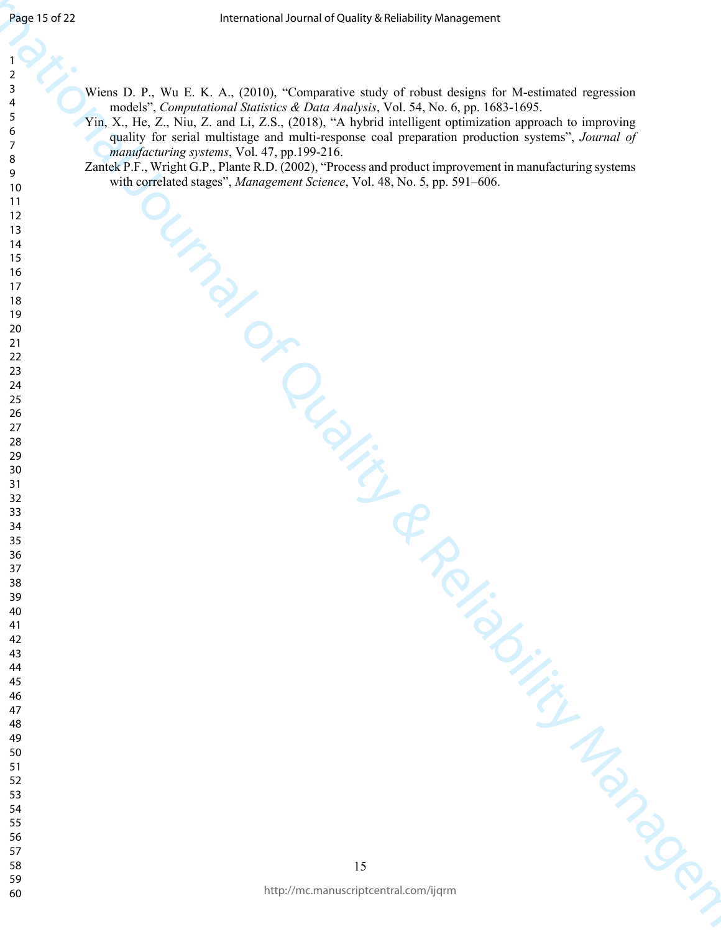- Wiens D. P., Wu E. K. A., (2010), "Comparative study of robust designs for M-estimated regression models", *Computational Statistics & Data Analysis*, Vol. 54, No. 6, pp. 1683-1695.
- The probability of the state of Colorado and Colorado and Colorado and Colorado and Colorado and Colorado and Colorado and Colorado and Colorado and Colorado and Colorado and Colorado and Colorado and Colorado and Colorad Yin, X., He, Z., Niu, Z. and Li, Z.S., (2018), "A hybrid intelligent optimization approach to improving quality for serial multistage and multi-response coal preparation production systems", *Journal of manufacturing systems*, Vol. 47, pp.199-216.
	- Zantek P.F., Wright G.P., Plante R.D. (2002), "Process and product improvement in manufacturing systems with correlated stages", *Management Science*, Vol. 48, No. 5, pp. 591–606.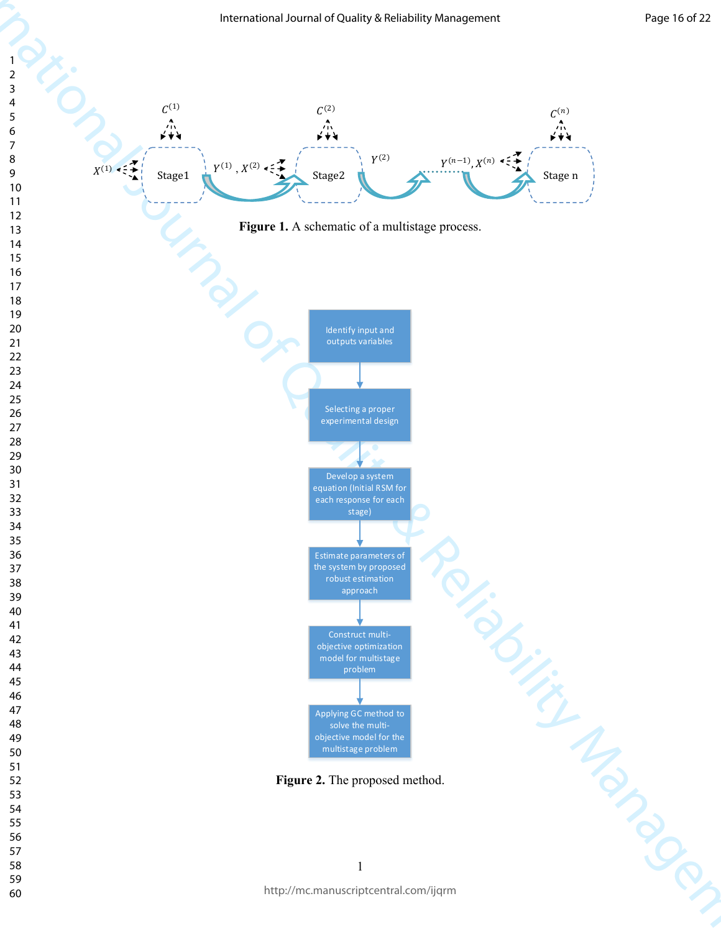

http://mc.manuscriptcentral.com/ijqrm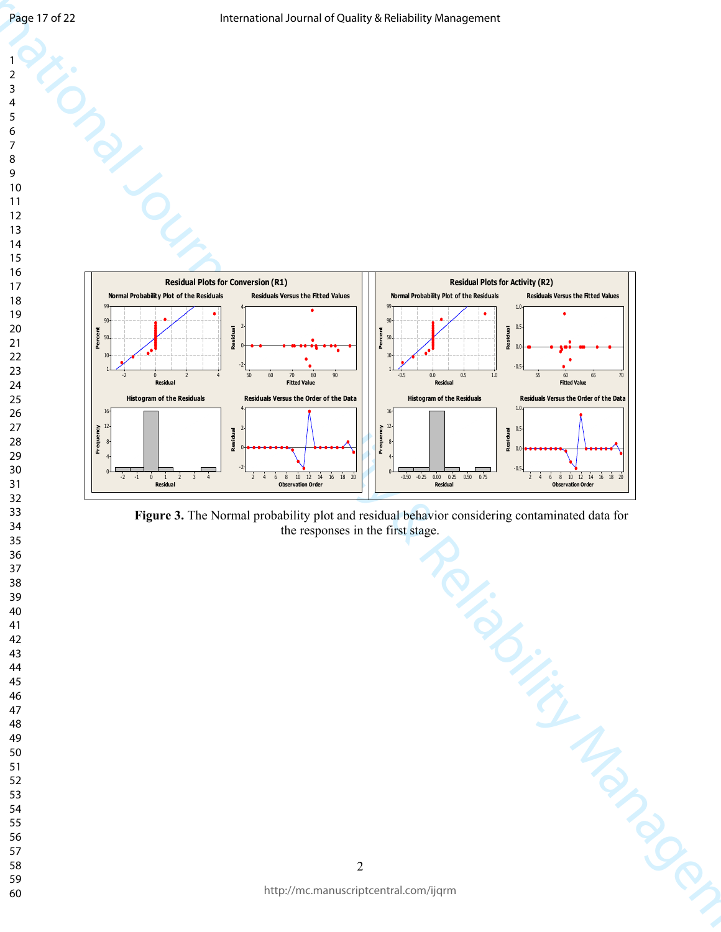

**Figure 3.** The Normal probability plot and residual behavior considering contaminated data for the responses in the first stage.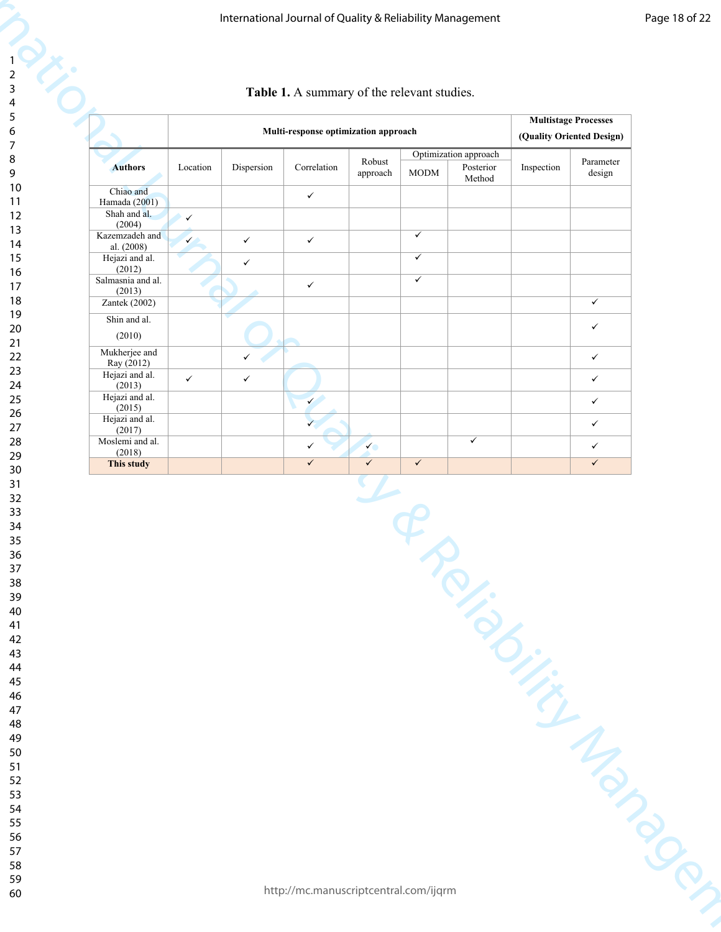| $\overline{c}$  |  |
|-----------------|--|
| 3               |  |
| 4               |  |
| 5               |  |
| 6               |  |
| 7               |  |
| 8               |  |
|                 |  |
| 9               |  |
| 10              |  |
| 11              |  |
| $\overline{12}$ |  |
| 13              |  |
| 14              |  |
| 15              |  |
| 16              |  |
| 17              |  |
| 18              |  |
| 19              |  |
|                 |  |
| 20              |  |
| $\overline{21}$ |  |
| 22              |  |
| 23              |  |
| 24              |  |
| 25              |  |
| 26              |  |
| 27              |  |
| 28              |  |
| 29              |  |
| 30              |  |
|                 |  |
| 31              |  |
| 32              |  |
| 33              |  |
| 34              |  |
| 35              |  |
| 36              |  |
| 37              |  |
| 38              |  |
| 39              |  |
| 40              |  |
| 41              |  |
| 42              |  |
| 43              |  |
| 44              |  |
|                 |  |
| 45              |  |
| 46              |  |
| 47              |  |
| 48              |  |
| 49              |  |
| 50              |  |
| 51              |  |
| 52              |  |
| 53              |  |
| 54              |  |
| 55              |  |
|                 |  |
| 56              |  |
| 57              |  |
| 58              |  |

| Table 1. A summary of the relevant studies. |  |  |  |  |
|---------------------------------------------|--|--|--|--|
|---------------------------------------------|--|--|--|--|

|                                         |              |              | Table 1. A summary of the relevant studies. |                              |                         |                                              |            |                                                          |
|-----------------------------------------|--------------|--------------|---------------------------------------------|------------------------------|-------------------------|----------------------------------------------|------------|----------------------------------------------------------|
|                                         |              |              | Multi-response optimization approach        |                              |                         |                                              |            | <b>Multistage Processes</b><br>(Quality Oriented Design) |
| <b>Authors</b>                          | Location     | Dispersion   | Correlation                                 | Robust<br>approach           | $\rm{MODM}$             | Optimization approach<br>Posterior<br>Method | Inspection | Parameter<br>design                                      |
| Chiao and<br>Hamada (2001)              |              |              | $\checkmark$                                |                              |                         |                                              |            |                                                          |
| Shah and al.<br>(2004)                  | $\checkmark$ |              |                                             |                              |                         |                                              |            |                                                          |
| Kazemzadeh and<br>al. (2008)            | $\checkmark$ | $\checkmark$ | $\checkmark$                                |                              | $\checkmark$            |                                              |            |                                                          |
| Hejazi and al.<br>(2012)                |              | $\checkmark$ |                                             |                              | $\checkmark$            |                                              |            |                                                          |
| Salmasnia and al.<br>(2013)             |              |              | $\checkmark$                                |                              | $\overline{\checkmark}$ |                                              |            |                                                          |
| Zantek (2002)                           |              |              |                                             |                              |                         |                                              |            | $\checkmark$                                             |
| Shin and al.<br>(2010)                  |              |              |                                             |                              |                         |                                              |            | $\checkmark$                                             |
| Mukherjee and                           |              | $\checkmark$ |                                             |                              |                         |                                              |            | $\checkmark$                                             |
| Ray (2012)<br>Hejazi and al.            |              |              |                                             |                              |                         |                                              |            |                                                          |
| (2013)<br>Hejazi and al.                | $\checkmark$ | $\checkmark$ |                                             |                              |                         |                                              |            | ✓                                                        |
| (2015)<br>Hejazi and al.                |              |              |                                             |                              |                         |                                              |            | $\checkmark$                                             |
| (2017)                                  |              |              | $\checkmark$                                |                              |                         | $\checkmark$                                 |            | $\checkmark$                                             |
| Moslemi and al.<br>(2018)<br>This study |              |              | $\checkmark$<br>$\checkmark$                | $\checkmark$<br>$\checkmark$ | $\checkmark$            |                                              |            | ✓<br>$\checkmark$                                        |
|                                         |              |              |                                             |                              |                         |                                              |            |                                                          |
|                                         |              |              | http://mc.manuscriptcentral.com/ijqrm       |                              |                         |                                              |            |                                                          |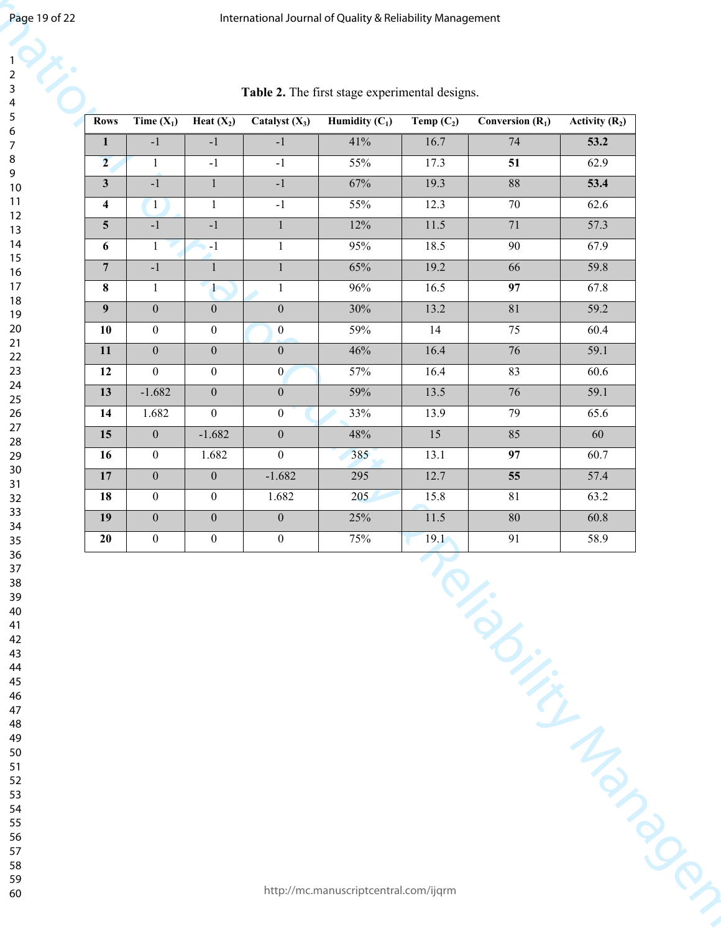|                         |                  |                   |                  | Table 2. The first stage experimental designs. |              |                    |                  |
|-------------------------|------------------|-------------------|------------------|------------------------------------------------|--------------|--------------------|------------------|
| <b>Rows</b>             | Time $(X_1)$     | Heat $(X_2)$      | Catalyst $(X_3)$ | Humidity $(C_1)$                               | Temp $(C_2)$ | Conversion $(R_1)$ | Activity $(R_2)$ |
| $\mathbf{1}$            | $-1$             | $-1$              | $-1$             | 41%                                            | 16.7         | 74                 | 53.2             |
| $\overline{2}$          | $\mathbf{1}$     | $-1$              | $-1$             | 55%                                            | 17.3         | 51                 | 62.9             |
| $\mathbf{3}$            | $-1$             | $\mathbf{1}$      | $-1$             | 67%                                            | 19.3         | 88                 | 53.4             |
| $\overline{\mathbf{4}}$ | $\mathbf{1}$     | $\mathbf{1}$      | $-1$             | 55%                                            | 12.3         | 70                 | 62.6             |
| $5\overline{)}$         | $-1$             | $-1$              | $\mathbf{1}$     | 12%                                            | 11.5         | 71                 | 57.3             |
| 6                       | 1                | $-1$              | $\mathbf{1}$     | 95%                                            | 18.5         | 90                 | 67.9             |
| $\overline{7}$          | $-1$             | $\mathbf{1}$      | $\mathbf{1}$     | 65%                                            | 19.2         | 66                 | 59.8             |
| 8                       | $\mathbf{1}$     | $\mathcal{L}_{1}$ | $\mathbf{1}$     | 96%                                            | 16.5         | 97                 | 67.8             |
| 9                       | $\mathbf{0}$     | $\mathbf{0}$      | $\boldsymbol{0}$ | 30%                                            | 13.2         | 81                 | 59.2             |
| <b>10</b>               | $\mathbf{0}$     | $\mathbf{0}$      | $\mathbf{0}$     | 59%                                            | 14           | 75                 | 60.4             |
| 11                      | $\mathbf{0}$     | $\mathbf{0}$      | $\boldsymbol{0}$ | 46%                                            | 16.4         | 76                 | 59.1             |
| 12                      | $\mathbf{0}$     | $\mathbf{0}$      | $\mathbf{0}$     | 57%                                            | 16.4         | 83                 | 60.6             |
| 13                      | $-1.682$         | $\mathbf{0}$      | $\mathbf{0}$     | 59%                                            | 13.5         | 76                 | 59.1             |
| 14                      | 1.682            | $\boldsymbol{0}$  | $\boldsymbol{0}$ | 33%                                            | 13.9         | 79                 | 65.6             |
| 15                      | $\boldsymbol{0}$ | $-1.682$          | $\boldsymbol{0}$ | 48%                                            | 15           | 85                 | 60               |
| 16                      | $\boldsymbol{0}$ | 1.682             | $\boldsymbol{0}$ | 385                                            | 13.1         | 97                 | 60.7             |
| 17                      | $\mathbf{0}$     | $\mathbf{0}$      | $-1.682$         | 295                                            | 12.7         | $\overline{55}$    | 57.4             |
| 18                      | $\boldsymbol{0}$ | $\boldsymbol{0}$  | 1.682            | 205                                            | 15.8         | 81                 | 63.2             |
| 19                      | $\mathbf{0}$     | $\mathbf{0}$      | $\mathbf{0}$     | 25%                                            | 11.5         | $80\,$             | 60.8             |
| 20                      | $\bf{0}$         | $\mathbf{0}$      | $\boldsymbol{0}$ | 75%                                            | 19.1         | 91                 | 58.9             |
|                         |                  |                   |                  |                                                |              | Teliability Mapach |                  |
|                         |                  |                   |                  | http://mc.manuscriptcentral.com/ijqrm          |              |                    |                  |

**Table 2.** The first stage experimental designs.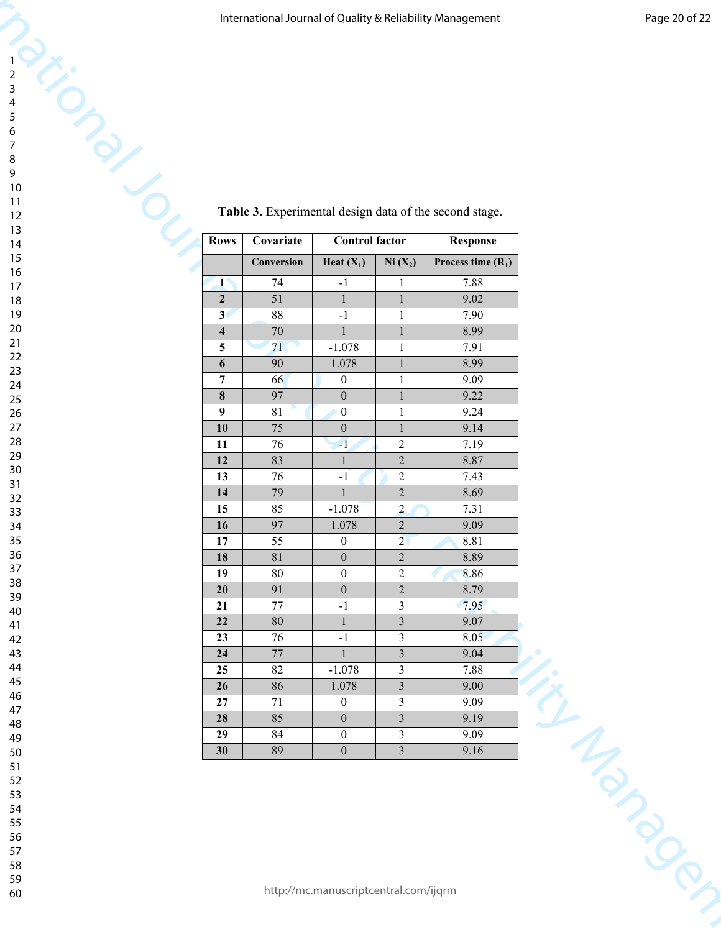|                         |                 |                                      |                                  | International Journal of Quality & Reliability Management | Page 20 of 22           |
|-------------------------|-----------------|--------------------------------------|----------------------------------|-----------------------------------------------------------|-------------------------|
|                         |                 |                                      |                                  |                                                           |                         |
|                         |                 |                                      |                                  |                                                           |                         |
|                         |                 |                                      |                                  |                                                           |                         |
|                         |                 |                                      |                                  |                                                           |                         |
|                         |                 |                                      |                                  |                                                           |                         |
|                         |                 |                                      |                                  |                                                           |                         |
|                         |                 |                                      |                                  |                                                           |                         |
|                         |                 |                                      |                                  |                                                           |                         |
|                         |                 |                                      |                                  | Table 3. Experimental design data of the second stage.    |                         |
|                         | Covariate       | <b>Control factor</b>                |                                  | <b>Response</b>                                           |                         |
|                         | Conversion      | Heat $(X_1)$                         | $Ni(X_2)$                        | Process time $(R_1)$                                      |                         |
| $\mathbf{1}^\circ$      | 74              | $-1$                                 | 1                                | 7.88                                                      |                         |
| $\overline{2}$          | 51              | $\mathbf{1}$                         | $\mathbf{1}$                     | 9.02                                                      |                         |
| 3 <sup>1</sup>          | 88              | $-1$                                 | 1                                | 7.90                                                      |                         |
| $\overline{\mathbf{4}}$ | 70              | $\mathbf{1}$                         | $\mathbf{1}$                     | 8.99                                                      |                         |
| 5                       | 71              | $-1.078$                             | 1                                | 7.91                                                      |                         |
| 6<br>$\overline{7}$     | 90<br>66        | 1.078<br>$\boldsymbol{0}$            | $\mathbf{1}$                     | 8.99<br>9.09                                              |                         |
| $\bf{8}$                | 97              | $\boldsymbol{0}$                     | $\mathbf{1}$                     | 9.22                                                      |                         |
| $\boldsymbol{9}$        | 81              | $\boldsymbol{0}$                     | 1                                | 9.24                                                      |                         |
| 10                      | $75\,$          | $\boldsymbol{0}$                     | 1                                | 9.14                                                      |                         |
| 11<br>12                | 76<br>83        | $\mathbf{-1}$                        | $\overline{2}$<br>$\overline{2}$ | 7.19<br>8.87                                              |                         |
| 13                      | 76              | $-1$                                 | $\overline{2}$                   | 7.43                                                      |                         |
| 14                      | 79              | $\mathbf{1}$                         | $\overline{2}$                   | 8.69                                                      |                         |
| 15                      | 85              | $-1.078$                             | $\overline{2}$                   | 7.31                                                      |                         |
| 16<br>17                | 97<br>55        | 1.078                                | $\overline{2}$<br>$2\sqrt{ }$    | 9.09                                                      |                         |
| 18                      | $\overline{81}$ | $\boldsymbol{0}$<br>$\boldsymbol{0}$ | $\overline{2}$                   | 8.81<br>8.89                                              |                         |
| 19                      | 80              | $\mathbf{0}$                         | $\overline{2}$                   | 8.86                                                      |                         |
| 20                      | 91              | $\boldsymbol{0}$                     | $\overline{2}$                   | 8.79                                                      |                         |
| 21                      | $77\,$          | $-1$                                 | $\overline{3}$                   | 7.95                                                      |                         |
| 22<br>23                | $80\,$<br>76    | $\mathbf{1}$<br>$-1$                 | $\overline{3}$<br>$\overline{3}$ | 9.07<br>8.05                                              |                         |
| 24                      | $77\,$          | 1                                    | $\overline{\mathbf{3}}$          | 9.04                                                      |                         |
| 25                      | $82\,$          | $-1.078$                             | $\mathfrak{Z}$                   | 7.88                                                      |                         |
|                         | 86              | 1.078<br>$\mathbf{0}$                | $\overline{3}$                   | 9.00                                                      |                         |
| 26                      |                 |                                      | $\overline{3}$                   | 9.09                                                      |                         |
| 27                      | 71              |                                      |                                  |                                                           |                         |
| 28<br>29                | 85<br>84        | $\boldsymbol{0}$<br>$\boldsymbol{0}$ | $\overline{3}$<br>$\mathfrak{Z}$ | 9.19<br>9.09                                              | $\frac{2}{\frac{2}{3}}$ |

#### **Table 3.** Experimental design data of the second stage.

- 
- 
- 
-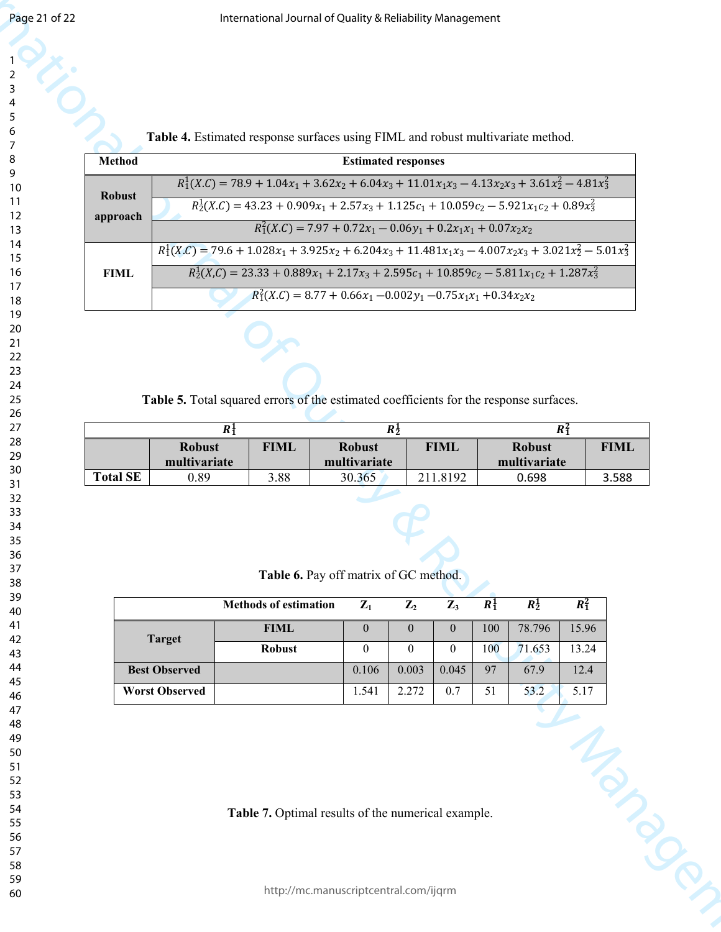|                 |                       |                               |         | International Journal of Quality & Reliability Management                                                  |                               |                |                  |         |                               |                |             |
|-----------------|-----------------------|-------------------------------|---------|------------------------------------------------------------------------------------------------------------|-------------------------------|----------------|------------------|---------|-------------------------------|----------------|-------------|
|                 |                       |                               |         | Table 4. Estimated response surfaces using FIML and robust multivariate method.                            |                               |                |                  |         |                               |                |             |
| <b>Method</b>   |                       |                               |         |                                                                                                            | <b>Estimated responses</b>    |                |                  |         |                               |                |             |
| <b>Robust</b>   |                       |                               |         | $R_1^1(X.C) = 78.9 + 1.04x_1 + 3.62x_2 + 6.04x_3 + 11.01x_1x_3 - 4.13x_2x_3 + 3.61x_2^2 - 4.81x_3^2$       |                               |                |                  |         |                               |                |             |
| approach        |                       |                               |         | $R_2^1(X.C) = 43.23 + 0.909x_1 + 2.57x_3 + 1.125c_1 + 10.059c_2 - 5.921x_1c_2 + 0.89x_3^2$                 |                               |                |                  |         |                               |                |             |
|                 |                       |                               |         | $R_1^2(X.C) = 7.97 + 0.72x_1 - 0.06y_1 + 0.2x_1x_1 + 0.07x_2x_2$                                           |                               |                |                  |         |                               |                |             |
|                 |                       |                               |         | $R_1^1(X.C) = 79.6 + 1.028x_1 + 3.925x_2 + 6.204x_3 + 11.481x_1x_3 - 4.007x_2x_3 + 3.021x_2^2 - 5.01x_3^2$ |                               |                |                  |         |                               |                |             |
| <b>FIML</b>     |                       |                               |         | $R_2^1(X,C) = 23.33 + 0.889x_1 + 2.17x_3 + 2.595c_1 + 10.859c_2 - 5.811x_1c_2 + 1.287x_3^2$                |                               |                |                  |         |                               |                |             |
|                 |                       |                               |         | $R_1^2(X.C) = 8.77 + 0.66x_1 - 0.002y_1 - 0.75x_1x_1 + 0.34x_2x_2$                                         |                               |                |                  |         |                               |                |             |
|                 |                       |                               |         | Table 5. Total squared errors of the estimated coefficients for the response surfaces.                     |                               |                |                  |         |                               |                |             |
|                 |                       |                               | $R_1^1$ |                                                                                                            |                               | $R_2^1$        |                  |         |                               | $R_1^2$        |             |
|                 |                       | <b>Robust</b><br>multivariate |         | <b>FIML</b>                                                                                                | <b>Robust</b><br>multivariate |                | <b>FIML</b>      |         | <b>Robust</b><br>multivariate |                | <b>FIML</b> |
|                 |                       |                               |         |                                                                                                            |                               |                | 211.8192         |         |                               |                | 3.588       |
| <b>Total SE</b> |                       | 0.89                          |         | 3.88                                                                                                       | 30.365                        |                |                  |         | 0.698                         |                |             |
|                 |                       |                               |         | Table 6. Pay off matrix of GC method.                                                                      |                               |                |                  |         |                               |                |             |
|                 |                       |                               |         | <b>Methods of estimation</b>                                                                               | $Z_1$                         | $\mathbf{Z}_2$ | $\mathbf{Z}_3$   | $R_1^1$ | $R_2^1$                       | $R_1^2$        |             |
|                 | <b>Target</b>         |                               |         | <b>FIML</b>                                                                                                | $\mathbf{0}$                  | $\overline{0}$ | $\overline{0}$   | 100     | 78.796                        | 15.96          |             |
|                 |                       |                               |         | <b>Robust</b>                                                                                              | $\mathbf{0}$                  | $\mathbf{0}$   | $\boldsymbol{0}$ | 100     | 71.653                        | 13.24          |             |
|                 | <b>Best Observed</b>  |                               |         |                                                                                                            | 0.106                         | 0.003          | 0.045            | 97      | 67.9                          | 12.4           |             |
|                 | <b>Worst Observed</b> |                               |         |                                                                                                            | 1.541                         | 2.272          | 0.7              | 51      | 53.2                          | 5.17<br>Manuel |             |

|                 | π             |      | $R_2^1$       |       |               |             |
|-----------------|---------------|------|---------------|-------|---------------|-------------|
|                 | <b>Robust</b> | FIML | <b>Robust</b> | FIML  | <b>Robust</b> | <b>FIML</b> |
|                 | multivariate  |      | multivariate  |       | multivariate  |             |
| <b>Total SE</b> | 0.89          | 3.88 | 30.365        | .8192 | 0.698         | 3.588       |

**Table 6.** Pay off matrix of GC method.

|                       | <b>Methods of estimation</b> | $\mathbf{Z}_1$ | $\mathbf{Z}_2$ | $\mathbf{Z}_3$ | Rł  | $R_2^1$ | $R_1^2$ |
|-----------------------|------------------------------|----------------|----------------|----------------|-----|---------|---------|
| <b>Target</b>         | <b>FIML</b>                  | 0              | 0              | $\theta$       | 100 | 78.796  | 15.96   |
|                       | <b>Robust</b>                | 0              |                | 0              | 100 | 71.653  | 13.24   |
| <b>Best Observed</b>  |                              | 0.106          | 0.003          | 0.045          | 97  | 67.9    | 12.4    |
| <b>Worst Observed</b> |                              | l.541          | 2.272          | 0.7            | 51  | 53.2    | 5.17    |

**Table 7.** Optimal results of the numerical example.